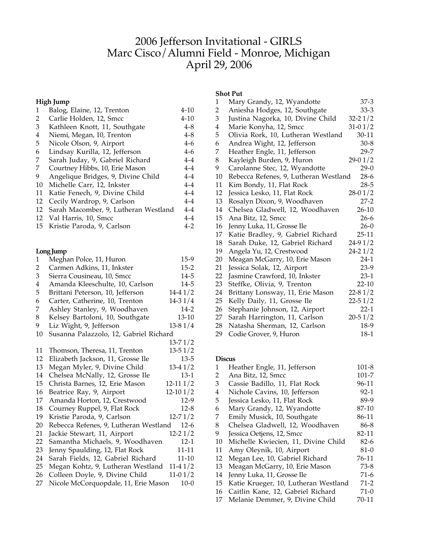# Jefferson Invitational - GIRLS Marc Cisco/Alumni Field - Monroe, Michigan April 29, 2006

## **High Jump**

| 1  | Balog, Elaine, 12, Trenton           | $4 - 10$ |
|----|--------------------------------------|----------|
| 2  | Carlie Holden, 12, Smcc              | $4 - 10$ |
| 3  | Kathleen Knott, 11, Southgate        | $4 - 8$  |
| 4  | Niemi, Megan, 10, Trenton            | $4 - 8$  |
| 5  | Nicole Olson, 9, Airport             | $4-6$    |
| 6  | Lindsay Kurilla, 12, Jefferson       | $4-6$    |
| 7  | Sarah Juday, 9, Gabriel Richard      | $4-4$    |
| 7  | Courtney Hibbs, 10, Erie Mason       | $4 - 4$  |
| 9  | Angelique Bridges, 9, Divine Child   | $4 - 4$  |
| 10 | Michelle Carr, 12, Inkster           | $4-4$    |
| 11 | Katie Fenech, 9, Divine Child        | $4 - 4$  |
| 12 | Cecily Wardrop, 9, Carlson           | $4 - 4$  |
| 12 | Sarah Macomber, 9, Lutheran Westland | $4 - 4$  |
|    | 12 Val Harris, 10, Smcc              | $4 - 4$  |
|    | 15 Kristie Paroda, 9, Carlson        | $4-2$    |

## **LongJump**

| 1              | Meghan Polce, 11, Huron                | $15-9$       |
|----------------|----------------------------------------|--------------|
| $\overline{2}$ | Carmen Adkins, 11, Inkster             | $15 - 2$     |
| 3              | Sierra Cousineau, 10, Smcc             | $14 - 5$     |
| 4              | Amanda Kleeschulte, 10, Carlson        | $14 - 5$     |
| 5              | Brittani Peterson, 10, Jefferson       | $14-41/2$    |
| 6              | Carter, Catherine, 10, Trenton         | $14-31/4$    |
| 7              | Ashley Stanley, 9, Woodhaven           | $14-2$       |
| 8              | Kelsey Bartoloni, 10, Southgate        | $13 - 10$    |
| 9              | Liz Wight, 9, Jefferson                | $13-81/4$    |
| 10             | Susanna Palazzolo, 12, Gabriel Richard |              |
|                |                                        | $13 - 71/2$  |
| 11             | Thomson, Theresa, 11, Trenton          | $13 - 51/2$  |
| 12             | Elizabeth Jackson, 11, Grosse Ile      | $13 - 5$     |
| 13             | Megan Myler, 9, Divine Child           | $13-41/2$    |
| 14             | Chelsea McNally, 12, Grosse Ile        | $13-1$       |
| 15             | Christa Barnes, 12, Erie Mason         | $12 - 111/2$ |
| 16             | Beatrice Ray, 9, Airport               | $12-101/2$   |
| 17             | Amanda Horton, 12, Crestwood           | $12-9$       |
| 18             | Courney Ruppel, 9, Flat Rock           | $12 - 8$     |
| 19             | Kristie Paroda, 9, Carlson             | $12 - 71/2$  |
| 20             | Rebecca Refenes, 9, Lutheran Westland  | $12-6$       |
| 21             | Jackie Stewart, 11, Airport            | $12 - 21/2$  |
| 22             | Samantha Michaels, 9, Woodhaven        | $12 - 1$     |
| 23             | Jenny Spaulding, 12, Flat Rock         | 11-11        |
| 24             | Sarah Fields, 12, Gabriel Richard      | 11-10        |
| 25             | Megan Kohtz, 9, Lutheran Westland      | $11-41/2$    |
| 26             | Colleen Doyle, 9, Divine Child         | $11-01/2$    |
| 27             | Nicole McCorquopdale, 11, Erie Mason   | $10-0$       |
|                |                                        |              |

### **Shot Put**

| 1              | Mary Grandy, 12, Wyandotte            | 37-3        |
|----------------|---------------------------------------|-------------|
| $\overline{2}$ | Aniesha Hodges, 12, Southgate         | $33 - 3$    |
| 3              | Justina Nagorka, 10, Divine Child     | $32 - 21/2$ |
| $\bf 4$        | Marie Konyha, 12, Smcc                | $31 - 01/2$ |
| 5              | Olivia Rork, 10, Lutheran Westland    | $30 - 11$   |
| 6              | Andrea Wight, 12, Jefferson           | $30-8$      |
| 7              | Heather Engle, 11, Jefferson          | 29-7        |
| 8              | Kayleigh Burden, 9, Huron             | $29-01/2$   |
| 9              | Carolanne Stec, 12, Wyandotte         | $29-0$      |
| 10             | Rebecca Refenes, 9, Lutheran Westland | $28-6$      |
| 11             | Kim Bondy, 11, Flat Rock              | $28 - 5$    |
| 12             | Jessica Lesko, 11, Flat Rock          | $28-01/2$   |
| 13             | Rosalyn Dixon, 9, Woodhaven           | $27-2$      |
| 14             | Chelsea Gladwell, 12, Woodhaven       | $26 - 10$   |
| 15             | Ana Bitz, 12, Smcc                    | $26 - 6$    |
| 16             | Jenny Luka, 11, Grosse Ile            | $26-0$      |
| 17             | Katie Bradley, 9, Gabriel Richard     | $25 - 11$   |
| 18             | Sarah Duke, 12, Gabriel Richard       | $24-91/2$   |
| 19             | Angela Yu, 12, Crestwood              | $24 - 21/2$ |
| 20             | Meagan McGarry, 10, Erie Mason        | $24-1$      |
| 21             | Jessica Solak, 12, Airport            | 23-9        |
| 22             | Jasmine Crawford, 10, Inkster         | $23-1$      |
| 23             | Steffke, Olivia, 9, Trenton           | $22 - 10$   |
| 24             | Brittany Lonsway, 11, Erie Mason      | $22 - 81/2$ |
| 25             | Kelly Daily, 11, Grosse Ile           | $22 - 51/2$ |
| 26             | Stephanie Johnson, 12, Airport        | $22 - 1$    |
| 27             | Sarah Harrington, 11, Carlson         | $20 - 51/2$ |
| 28             | Natasha Sherman, 12, Carlson          | $18-9$      |
| 29             | Codie Grover, 9, Huron                | 18-1        |

#### **Discus**

| Heather Engle, 11, Jefferson         | $101 - 8$ |
|--------------------------------------|-----------|
| Ana Bitz, 12, Smcc                   | 101-7     |
| Cassie Badillo, 11, Flat Rock        | 96-11     |
| Nichole Cavins, 10, Jefferson        | $92 - 1$  |
| Jessica Lesko, 11, Flat Rock         | 89-9      |
| Mary Grandy, 12, Wyandotte           | 87-10     |
| Emily Musick, 10, Southgate          | 86-11     |
| Chelsea Gladwell, 12, Woodhaven      | 86-8      |
| Jessica Oetjens, 12, Smcc            | 82-11     |
| Michelle Kwiecien, 11, Divine Child  | $82 - 6$  |
| Amy Oleynik, 10, Airport             | 81-0      |
| Megan Lee, 10, Gabriel Richard       | 76-11     |
| Meagan McGarry, 10, Erie Mason       | 73-8      |
| Jenny Luka, 11, Grosse Ile           | $71-6$    |
| Katie Krueger, 10, Lutheran Westland | $71-2$    |
| Caitlin Kane, 12, Gabriel Richard    | $71-0$    |
| Melanie Demmer, 9, Divine Child      | $70 - 11$ |
|                                      |           |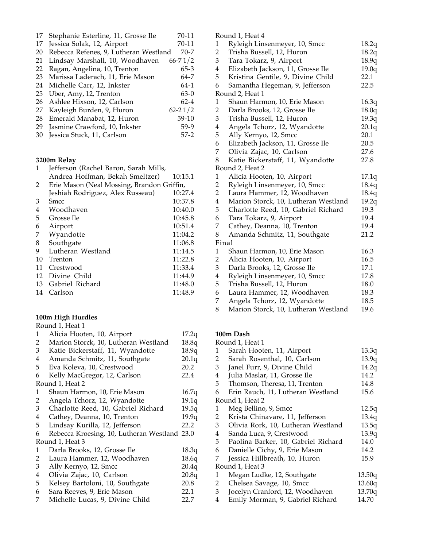|    | 17 Stephanie Esterline, 11, Grosse Ile    | 70-11       |
|----|-------------------------------------------|-------------|
| 17 | Jessica Solak, 12, Airport                | 70-11       |
| 20 | Rebecca Refenes, 9, Lutheran Westland     | $70 - 7$    |
| 21 | Lindsay Marshall, 10, Woodhaven           | $66 - 71/2$ |
| 22 | Ragan, Angelina, 10, Trenton              | $65-3$      |
|    | 23 Marissa Laderach, 11, Erie Mason       | 64-7        |
|    | 24 Michelle Carr, 12, Inkster             | 64-1        |
|    | 25 Uber, Amy, 12, Trenton                 | $63-0$      |
|    | 26 Ashlee Hixson, 12, Carlson             | $62 - 4$    |
| 27 | Kayleigh Burden, 9, Huron                 | $62 - 21/2$ |
|    | 28 Emerald Manabat, 12, Huron             | $59-10$     |
| 29 | Jasmine Crawford, 10, Inkster             | 59-9        |
|    | $\sim$ $\sim$ $\sim$ $\sim$ $\sim$ $\sim$ |             |

Jessica Stuck, 11, Carlson 57-2

#### **3200m Relay**

| 1  | Jefferson (Rachel Baron, Sarah Mills,      |         |
|----|--------------------------------------------|---------|
|    | Andrea Hoffman, Bekah Smeltzer)            | 10:15.1 |
| 2  | Erie Mason (Neal Mossing, Brandon Griffin, |         |
|    | Jeshiah Rodriguez, Alex Russeau)           | 10:27.4 |
| 3  | Smcc                                       | 10:37.8 |
| 4  | Woodhaven                                  | 10:40.0 |
| 5  | Grosse Ile                                 | 10:45.8 |
| 6  | Airport                                    | 10:51.4 |
| 7  | Wyandotte                                  | 11:04.2 |
| 8  | Southgate                                  | 11:06.8 |
| 9  | Lutheran Westland                          | 11:14.5 |
| 10 | Trenton                                    | 11:22.8 |
| 11 | Crestwood                                  | 11:33.4 |
| 12 | Divine Child                               | 11:44.9 |
| 13 | Gabriel Richard                            | 11:48.0 |
| 14 | Carlson                                    | 11:48.9 |

#### **100m High Hurdles**

Round 1, Heat 1 Alicia Hooten, 10, Airport 17.2q 2 Marion Storck, 10, Lutheran Westland 18.8q Katie Bickerstaff, 11, Wyandotte 18.9q Amanda Schmitz, 11, Southgate 20.1q Eva Koleva, 10, Crestwood 20.2 Kelly MacGregor, 12, Carlson 22.4 Round 1, Heat 2 Shaun Harmon, 10, Erie Mason 16.7q 2 Angela Tchorz, 12, Wyandotte 19.1q 3 Charlotte Reed, 10, Gabriel Richard 19.5q Cathey, Deanna, 10, Trenton 19.9q Lindsay Kurilla, 12, Jefferson 22.2 Rebecca Kroesing, 10, Lutheran Westland 23.0 Round 1, Heat 3 Darla Brooks, 12, Grosse Ile 18.3q 2 Laura Hammer, 12, Woodhaven 18.6q 3 Ally Kernyo, 12, Smcc 20.4q<br>4 Olivia Zajac, 10, Carlson 20.8q 4 Olivia Zajac, 10, Carlson 5 Kelsey Bartoloni, 10, Southgate 20.8 Sara Reeves, 9, Erie Mason 22.1 7 Michelle Lucas, 9, Divine Child 22.7

Round 1, Heat 4

|                         | $\sqrt{2}$                           |       |
|-------------------------|--------------------------------------|-------|
| $\mathbf{1}$            | Ryleigh Linsenmeyer, 10, Smcc        | 18.2q |
| 2                       | Trisha Bussell, 12, Huron            | 18.2q |
| 3                       | Tara Tokarz, 9, Airport              | 18.9q |
| $\overline{\mathbf{4}}$ | Elizabeth Jackson, 11, Grosse Ile    | 19.0q |
| 5                       | Kristina Gentile, 9, Divine Child    | 22.1  |
| 6                       | Samantha Hegeman, 9, Jefferson       | 22.5  |
|                         | Round 2, Heat 1                      |       |
| $\mathbf{1}$            | Shaun Harmon, 10, Erie Mason         | 16.3q |
| 2                       | Darla Brooks, 12, Grosse Ile         | 18.0q |
| 3                       | Trisha Bussell, 12, Huron            | 19.3q |
| 4                       | Angela Tchorz, 12, Wyandotte         | 20.1q |
| 5                       | Ally Kernyo, 12, Smcc                | 20.1  |
| 6                       | Elizabeth Jackson, 11, Grosse Ile    | 20.5  |
| 7                       | Olivia Zajac, 10, Carlson            | 27.6  |
| 8                       | Katie Bickerstaff, 11, Wyandotte     | 27.8  |
|                         | Round 2, Heat 2                      |       |
| $\mathbf{1}$            | Alicia Hooten, 10, Airport           | 17.1q |
| 2                       | Ryleigh Linsenmeyer, 10, Smcc        | 18.4q |
| $\overline{2}$          | Laura Hammer, 12, Woodhaven          | 18.4q |
| $\overline{\mathbf{4}}$ | Marion Storck, 10, Lutheran Westland | 19.2q |
| 5                       | Charlotte Reed, 10, Gabriel Richard  | 19.3  |
| 6                       | Tara Tokarz, 9, Airport              | 19.4  |
| 7                       | Cathey, Deanna, 10, Trenton          | 19.4  |
| 8                       | Amanda Schmitz, 11, Southgate        | 21.2  |
|                         | Final                                |       |
| $\mathbf{1}$            | Shaun Harmon, 10, Erie Mason         | 16.3  |
| 2                       | Alicia Hooten, 10, Airport           | 16.5  |
| 3                       | Darla Brooks, 12, Grosse Ile         | 17.1  |
| $\overline{\mathbf{4}}$ | Ryleigh Linsenmeyer, 10, Smcc        | 17.8  |
| 5                       | Trisha Bussell, 12, Huron            | 18.0  |
| 6                       | Laura Hammer, 12, Woodhaven          | 18.3  |
| 7                       | Angela Tchorz, 12, Wyandotte         | 18.5  |
| 8                       | Marion Storck, 10, Lutheran Westland | 19.6  |

#### **100m Dash** Round 1, Heat 1

|   | wana 1, ricac r                     |        |
|---|-------------------------------------|--------|
| 1 | Sarah Hooten, 11, Airport           | 13.3q  |
| 2 | Sarah Rosenthal, 10, Carlson        | 13.9q  |
| 3 | Janel Furr, 9, Divine Child         | 14.2q  |
| 4 | Julia Maslar, 11, Grosse Ile        | 14.2   |
| 5 | Thomson, Theresa, 11, Trenton       | 14.8   |
| 6 | Erin Rauch, 11, Lutheran Westland   | 15.6   |
|   | Round 1, Heat 2                     |        |
| 1 | Meg Bellino, 9, Smcc                | 12.5q  |
| 2 | Krista Chinavare, 11, Jefferson     | 13.4q  |
| 3 | Olivia Rork, 10, Lutheran Westland  | 13.5q  |
| 4 | Sanda Luca, 9, Crestwood            | 13.9q  |
| 5 | Paolina Barker, 10, Gabriel Richard | 14.0   |
| 6 | Danielle Cichy, 9, Erie Mason       | 14.2   |
| 7 | Jessica Hillbreath, 10, Huron       | 15.9   |
|   | Round 1, Heat 3                     |        |
| 1 | Megan Ludke, 12, Southgate          | 13.50q |
| 2 | Chelsea Savage, 10, Smcc            | 13.60q |
| 3 | Jocelyn Cranford, 12, Woodhaven     | 13.70q |
| 4 | Emily Morman, 9, Gabriel Richard    | 14.70  |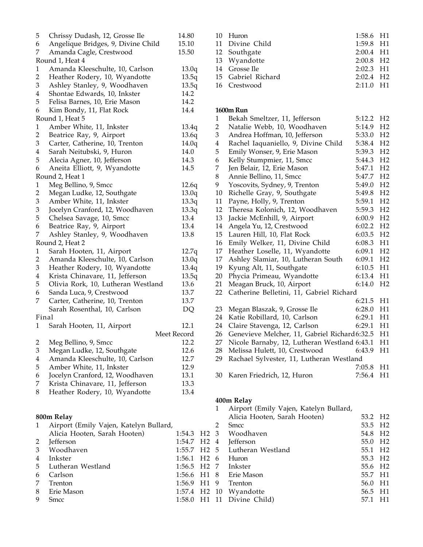| 5                       | Chrissy Dudash, 12, Grosse Ile         | 14.80                    |
|-------------------------|----------------------------------------|--------------------------|
| 6                       | Angelique Bridges, 9, Divine Child     | 15.10                    |
| 7                       | Amanda Cagle, Crestwood                | 15.50                    |
|                         | Round 1, Heat 4                        |                          |
| 1                       | Amanda Kleeschulte, 10, Carlson        | 13.0q                    |
| $\overline{2}$          | Heather Rodery, 10, Wyandotte          | 13.5q                    |
| 3                       | Ashley Stanley, 9, Woodhaven           | 13.5q                    |
| 4                       | Shontae Edwards, 10, Inkster           | 14.2                     |
| 5                       | Felisa Barnes, 10, Erie Mason          | 14.2                     |
| 6                       | Kim Bondy, 11, Flat Rock               | 14.4                     |
|                         | Round 1, Heat 5                        |                          |
| 1                       | Amber White, 11, Inkster               | 13.4q                    |
| $\overline{2}$          | Beatrice Ray, 9, Airport               | 13.6q                    |
| 3                       | Carter, Catherine, 10, Trenton         | 14.0q                    |
| 4                       | Sarah Neitubski, 9, Huron              | 14.0                     |
| 5                       | Alecia Agner, 10, Jefferson            | 14.3                     |
| 6                       | Aneita Elliott, 9, Wyandotte           | 14.5                     |
|                         | Round 2, Heat 1                        |                          |
| 1                       | Meg Bellino, 9, Smcc                   | 12.6q                    |
| $\overline{2}$          | Megan Ludke, 12, Southgate             | 13.0q                    |
| 3                       | Amber White, 11, Inkster               | 13.3q                    |
| 3                       | Jocelyn Cranford, 12, Woodhaven        | 13.3q                    |
| 5                       | Chelsea Savage, 10, Smcc               | 13.4                     |
| 6                       | Beatrice Ray, 9, Airport               | 13.4                     |
| 7                       | Ashley Stanley, 9, Woodhaven           | 13.8                     |
|                         |                                        |                          |
| 1                       | Round 2, Heat 2                        |                          |
| 2                       | Sarah Hooten, 11, Airport              | 12.7q                    |
|                         | Amanda Kleeschulte, 10, Carlson        | 13.0q                    |
| 3                       | Heather Rodery, 10, Wyandotte          | 13.4q                    |
| 4                       | Krista Chinavare, 11, Jefferson        | 13.5q                    |
| 5                       | Olivia Rork, 10, Lutheran Westland     | 13.6                     |
| 6                       | Sanda Luca, 9, Crestwood               | 13.7                     |
| 7                       | Carter, Catherine, 10, Trenton         | 13.7                     |
|                         | Sarah Rosenthal, 10, Carlson           | DQ                       |
| Final                   |                                        |                          |
| 1                       | Sarah Hooten, 11, Airport              | 12.1                     |
|                         |                                        | Meet Record              |
| $\overline{\mathbf{c}}$ | Meg Bellino, 9, Smcc                   | 12.2                     |
| 3                       | Megan Ludke, 12, Southgate             | 12.6                     |
| $\overline{\mathbf{4}}$ | Amanda Kleeschulte, 10, Carlson        | 12.7                     |
| 5                       | Amber White, 11, Inkster               | 12.9                     |
| 6                       | Jocelyn Cranford, 12, Woodhaven        | 13.1                     |
| 7                       | Krista Chinavare, 11, Jefferson        | 13.3                     |
| 8                       | Heather Rodery, 10, Wyandotte          | 13.4                     |
|                         |                                        |                          |
|                         | 800m Relay                             |                          |
| 1                       | Airport (Emily Vajen, Katelyn Bullard, |                          |
|                         | Alicia Hooten, Sarah Hooten)           | 1:54.3<br>H <sub>2</sub> |
| 2                       | Jefferson                              | H <sub>2</sub><br>1:54.7 |
| 3                       | Woodhaven                              | H <sub>2</sub><br>1:55.7 |
| 4                       | Inkster                                | 1:56.1<br>H <sub>2</sub> |
| 5                       | Lutheran Westland                      | 1:56.5<br>H <sub>2</sub> |

| 10 Huron           | $1:58.6$ H <sub>1</sub> |  |
|--------------------|-------------------------|--|
| 11 Divine Child    | $1:59.8$ H1             |  |
| 12 Southgate       | $2:00.4$ H1             |  |
| 13 Wyandotte       | $2:00.8$ H <sub>2</sub> |  |
| 14 Grosse Ile      | $2:02.3$ H1             |  |
| 15 Gabriel Richard | $2:02.4$ H <sub>2</sub> |  |
| 16 Crestwood       | $2:11.0$ H <sub>1</sub> |  |

#### **1600m Run**

| 1              | Bekah Smeltzer, 11, Jefferson                | 5:12.2 | H <sub>2</sub> |
|----------------|----------------------------------------------|--------|----------------|
| $\overline{2}$ | Natalie Webb, 10, Woodhaven                  | 5:14.9 | H <sub>2</sub> |
| 3              | Andrea Hoffman, 10, Jefferson                | 5:33.0 | H <sub>2</sub> |
| $\overline{4}$ | Rachel Iaquaniello, 9, Divine Child          | 5:38.4 | H2             |
| 5              | Emily Wonser, 9, Erie Mason                  | 5:39.3 | H <sub>2</sub> |
| 6              | Kelly Stumpmier, 11, Smcc                    | 5:44.3 | H <sub>2</sub> |
| 7              | Jen Belair, 12, Erie Mason                   | 5:47.1 | H <sub>2</sub> |
| 8              | Annie Bellino, 11, Smcc                      | 5:47.7 | H <sub>2</sub> |
| 9              | Yoscovits, Sydney, 9, Trenton                | 5:49.0 | H <sub>2</sub> |
| 10             | Richelle Gray, 9, Southgate                  | 5:49.8 | H <sub>2</sub> |
| 11             | Payne, Holly, 9, Trenton                     | 5:59.1 | H2             |
| 12             | Theresa Kolonich, 12, Woodhaven              | 5:59.3 | H <sub>2</sub> |
| 13             | Jackie McEnhill, 9, Airport                  | 6:00.9 | H <sub>2</sub> |
| 14             | Angela Yu, 12, Crestwood                     | 6:02.2 | H <sub>2</sub> |
| 15             | Lauren Hill, 10, Flat Rock                   | 6:03.5 | H <sub>2</sub> |
| 16             | Emily Welker, 11, Divine Child               | 6:08.3 | H1             |
| 17             | Heather Loselle, 11, Wyandotte               | 6:09.1 | H <sub>2</sub> |
| 17             | Ashley Slamiar, 10, Lutheran South           | 6:09.1 | H <sub>2</sub> |
| 19             | Kyung Alt, 11, Southgate                     | 6:10.5 | H1             |
| 20             | Phycia Primeau, Wyandotte                    | 6:13.4 | H1             |
| 21             | Meagan Bruck, 10, Airport                    | 6:14.0 | H <sub>2</sub> |
| 22             | Catherine Belletini, 11, Gabriel Richard     |        |                |
|                |                                              | 6:21.5 | H1             |
| 23             | Megan Blaszak, 9, Grosse Ile                 | 6:28.0 | H1             |
| 24             | Katie Robillard, 10, Carlson                 | 6:29.1 | H1             |
| 24             | Claire Stavenga, 12, Carlson                 | 6:29.1 | H1             |
| 26             | Genevieve Melcher, 11, Gabriel Richard6:32.5 |        | H1             |
| 27             | Nicole Barnaby, 12, Lutheran Westland 6:43.1 |        | H1             |
| 28             | Melissa Hulett, 10, Crestwood                | 6:43.9 | H1             |
| 29             | Rachael Sylvester, 11, Lutheran Westland     |        |                |
|                |                                              | 7:05.8 | H1             |
| 30             | Karen Friedrich, 12, Huron                   | 7:56.4 | H1             |
|                |                                              |        |                |

## **400m Relay**

|                |                                        |                           |  |                | Airport (Emily Vajen, Katelyn Bullard, |                     |  |
|----------------|----------------------------------------|---------------------------|--|----------------|----------------------------------------|---------------------|--|
| 800m Relay     |                                        |                           |  |                | Alicia Hooten, Sarah Hooten)           | 53.2 H <sub>2</sub> |  |
| 1              | Airport (Emily Vajen, Katelyn Bullard, |                           |  | $\overline{2}$ | <b>Smcc</b>                            | 53.5 H <sub>2</sub> |  |
|                | Alicia Hooten, Sarah Hooten)           | 1:54.3 H2 3               |  |                | Woodhaven                              | 54.8 H <sub>2</sub> |  |
|                | 2 Jefferson                            | $1:54.7$ H <sub>2</sub> 4 |  |                | Jefferson                              | 55.0 H <sub>2</sub> |  |
| 3              | Woodhaven                              |                           |  |                | 1:55.7 H2 5 Lutheran Westland          | 55.1 H <sub>2</sub> |  |
| $\overline{4}$ | Inkster                                | $1:56.1$ H <sub>2</sub> 6 |  |                | Huron                                  | 55.3 H <sub>2</sub> |  |
|                | 5 Lutheran Westland                    |                           |  |                | 1:56.5 H2 7 Inkster                    | 55.6 H <sub>2</sub> |  |
| 6              | Carlson                                |                           |  |                | $1:56.6$ H1 8 Erie Mason               | 55.7 H1             |  |
| 7              | Trenton                                | 1:56.9 H1 9               |  |                | Trenton                                | 56.0 H1             |  |
| 8              | Erie Mason                             |                           |  |                | 1:57.4 H2 10 Wyandotte                 | 56.5 H1             |  |
| 9              | <b>Smcc</b>                            |                           |  |                | 1:58.0 H1 11 Divine Child)             | 57.1 H1             |  |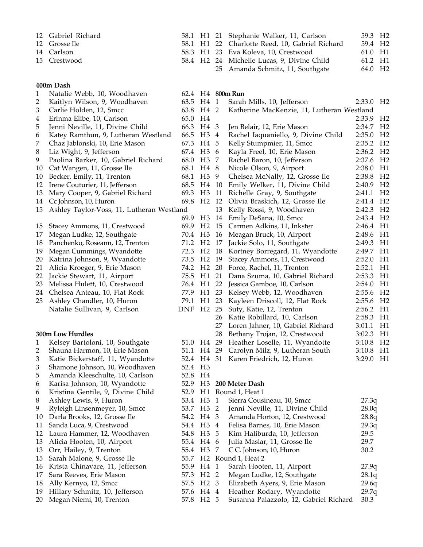| 12 Gabriel Richard |  | 58.1 H1 21 Stephanie Walker, 11, Carlson       | 59.3 H <sub>2</sub> |  |
|--------------------|--|------------------------------------------------|---------------------|--|
| 12 Grosse Ile      |  | 58.1 H1 22 Charlotte Reed, 10, Gabriel Richard | 59.4 H <sub>2</sub> |  |
| 14 Carlson         |  | 58.3 H1 23 Eva Koleva, 10, Crestwood           | 61.0 H1             |  |
| 15 Crestwood       |  | 58.4 H2 24 Michelle Lucas, 9, Divine Child     | 61.2 H1             |  |
|                    |  | 25 Amanda Schmitz, 11, Southgate               | 64.0 H <sub>2</sub> |  |

### **400m Dash**

| 1  | Natalie Webb, 10, Woodhaven               |                     |                  |    | 62.4 H4 800m Run                           |                       |                |
|----|-------------------------------------------|---------------------|------------------|----|--------------------------------------------|-----------------------|----------------|
| 2  | Kaitlyn Wilson, 9, Woodhaven              | 63.5 H4 1           |                  |    | Sarah Mills, 10, Jefferson                 | 2:33.0 H <sub>2</sub> |                |
| 3  | Carlie Holden, 12, Smcc                   | 63.8 H4 2           |                  |    | Katherine MacKenzie, 11, Lutheran Westland |                       |                |
| 4  | Erinma Elibe, 10, Carlson                 | 65.0                | H4               |    |                                            | 2:33.9                | H <sub>2</sub> |
| 5  | Jenni Neville, 11, Divine Child           | 66.3                | H4 3             |    | Jen Belair, 12, Erie Mason                 | 2:34.7 H <sub>2</sub> |                |
| 6  | Katey Ramthun, 9, Lutheran Westland       | 66.5                | H <sub>3</sub> 4 |    | Rachel Iaquaniello, 9, Divine Child        | 2:35.0                | H <sub>2</sub> |
| 7  | Chaz Jablonski, 10, Erie Mason            | 67.3                | H4 5             |    | Kelly Stumpmier, 11, Smcc                  | 2:35.2                | H <sub>2</sub> |
| 8  | Liz Wight, 9, Jefferson                   | 67.4 H3 6           |                  |    | Kayla Freel, 10, Erie Mason                | 2:36.2                | H <sub>2</sub> |
| 9  | Paolina Barker, 10, Gabriel Richard       | 68.0                | H <sub>3</sub> 7 |    | Rachel Baron, 10, Jefferson                | 2:37.6                | H <sub>2</sub> |
| 10 | Cat Wangen, 11, Grosse Ile                | 68.1                | H4 8             |    | Nicole Olson, 9, Airport                   | 2:38.0                | H1             |
| 10 | Becker, Emily, 11, Trenton                | 68.1                | H <sub>3</sub>   | 9  | Chelsea McNally, 12, Grosse Ile            | 2:38.8                | H <sub>2</sub> |
| 12 | Irene Couturier, 11, Jefferson            | 68.5                | H4               | 10 | Emily Welker, 11, Divine Child             | 2:40.9                | H <sub>2</sub> |
| 13 | Mary Cooper, 9, Gabriel Richard           | 69.3                | H <sub>3</sub>   | 11 | Richelle Gray, 9, Southgate                | 2:41.1                | H <sub>2</sub> |
| 14 | Cc Johnson, 10, Huron                     | 69.8 H <sub>2</sub> |                  | 12 | Olivia Braskich, 12, Grosse Ile            | 2:41.4                | H <sub>2</sub> |
| 15 | Ashley Taylor-Voss, 11, Lutheran Westland |                     |                  | 13 | Kelly Rossi, 9, Woodhaven                  | 2:42.3                | H <sub>2</sub> |
|    |                                           | 69.9                | H <sub>3</sub>   | 14 | Emily DeSana, 10, Smcc                     | 2:43.4                | H <sub>2</sub> |
| 15 | Stacey Ammons, 11, Crestwood              | 69.9 H <sub>2</sub> |                  | 15 | Carmen Adkins, 11, Inkster                 | 2:46.4 H1             |                |
| 17 | Megan Ludke, 12, Southgate                | 70.4 H3             |                  | 16 | Meagan Bruck, 10, Airport                  | 2:48.6                | H1             |
| 18 | Panchenko, Roseann, 12, Trenton           | 71.2 H <sub>2</sub> |                  | 17 | Jackie Solo, 11, Southgate                 | 2:49.3                | H1             |
| 19 | Megan Cummings, Wyandotte                 | 72.3 H <sub>2</sub> |                  | 18 | Kortney Borregard, 11, Wyandotte           | 2:49.7 H1             |                |
| 20 | Katrina Johnson, 9, Wyandotte             | 73.5                | H <sub>2</sub>   | 19 | Stacey Ammons, 11, Crestwood               | 2:52.0                | H1             |
| 21 | Alicia Kroeger, 9, Erie Mason             | 74.2 H <sub>2</sub> |                  | 20 | Force, Rachel, 11, Trenton                 | 2:52.1                | H1             |
| 22 | Jackie Stewart, 11, Airport               | 75.5                | H1               | 21 | Dana Szuma, 10, Gabriel Richard            | 2:53.3                | H1             |
| 23 | Melissa Hulett, 10, Crestwood             | 76.4 H1             |                  | 22 | Jessica Gamboe, 10, Carlson                | 2:54.0                | H1             |
| 24 | Chelsea Anteau, 10, Flat Rock             | 77.9                | H1               | 23 | Kelsey Webb, 12, Woodhaven                 | 2:55.6                | H <sub>2</sub> |
| 25 | Ashley Chandler, 10, Huron                | 79.1                | H1               | 23 | Kayleen Driscoll, 12, Flat Rock            | 2:55.6                | H <sub>2</sub> |
|    | Natalie Sullivan, 9, Carlson              | DNF H <sub>2</sub>  |                  | 25 | Suty, Katie, 12, Trenton                   | 2:56.2                | H1             |
|    |                                           |                     |                  | 26 | Katie Robillard, 10, Carlson               | 2:58.3                | H1             |
|    |                                           |                     |                  | 27 | Loren Jahner, 10, Gabriel Richard          | 3:01.1                | H1             |
|    | 300m Low Hurdles                          |                     |                  | 28 | Bethany Trojan, 12, Crestwood              | 3:02.3                | H1             |
| 1  | Kelsey Bartoloni, 10, Southgate           | 51.0 H4 29          |                  |    | Heather Loselle, 11, Wyandotte             | 3:10.8                | H <sub>2</sub> |
| 2  | Shauna Harmon, 10, Erie Mason             | 51.1 H4 29          |                  |    | Carolyn Milz, 9, Lutheran South            | 3:10.8                | H1             |
| 3  | Katie Bickerstaff, 11, Wyandotte          | 52.4 H4 31          |                  |    | Karen Friedrich, 12, Huron                 | 3:29.0                | H1             |
| 3  | Shamone Johnson, 10, Woodhaven            | 52.4 H3             |                  |    |                                            |                       |                |
| 5  | Amanda Kleeschulte, 10, Carlson           | 52.8                | H4               |    |                                            |                       |                |
| 6  | Karisa Johnson, 10, Wyandotte             | 52.9                | H <sub>3</sub>   |    | 200 Meter Dash                             |                       |                |
| 6  | Kristina Gentile, 9, Divine Child         | 52.9                |                  |    | H1 Round 1, Heat 1                         |                       |                |
| 8  | Ashley Lewis, 9, Huron                    |                     | 53.4 H3 1        |    | Sierra Cousineau, 10, Smcc                 | 27.3q                 |                |
| 9  | Ryleigh Linsenmeyer, 10, Smcc             | 53.7 H3 2           |                  |    | Jenni Neville, 11, Divine Child            | 28.0q                 |                |
|    | 10 Darla Brooks, 12, Grosse Ile           | 54.2 H4 3           |                  |    | Amanda Horton, 12, Crestwood               | 28.8q                 |                |
| 11 | Sanda Luca, 9, Crestwood                  | 54.4 H3 4           |                  |    | Felisa Barnes, 10, Erie Mason              | 29.3q                 |                |
|    | 12 Laura Hammer, 12, Woodhaven            | 54.8 H3 5           |                  |    | Kim Haliburda, 10, Jefferson               | 29.5                  |                |
|    | 13 Alicia Hooten, 10, Airport             | 55.4 H4 6           |                  |    | Julia Maslar, 11, Grosse Ile               | 29.7                  |                |
|    | 13 Orr, Hailey, 9, Trenton                | 55.4 H3 7           |                  |    | C C. Johnson, 10, Huron                    | 30.2                  |                |
| 15 | Sarah Malone, 9, Grosse Ile               |                     |                  |    | 55.7 H2 Round 1, Heat 2                    |                       |                |
|    | 16 Krista Chinavare, 11, Jefferson        | 55.9                | H4 1             |    | Sarah Hooten, 11, Airport                  | 27.9q                 |                |
| 17 | Sara Reeves, Erie Mason                   | 57.3                | H2 <sub>2</sub>  |    | Megan Ludke, 12, Southgate                 | 28.1q                 |                |
| 18 | Ally Kernyo, 12, Smcc                     | 57.5                | H2 <sub>3</sub>  |    | Elizabeth Ayers, 9, Erie Mason             | 29.6q                 |                |
| 19 | Hillary Schmitz, 10, Jefferson            | 57.6 H4 4           |                  |    | Heather Rodary, Wyandotte                  | 29.7q                 |                |
| 20 | Megan Niemi, 10, Trenton                  | 57.8 H2 5           |                  |    | Susanna Palazzolo, 12, Gabriel Richard     | 30.3                  |                |
|    |                                           |                     |                  |    |                                            |                       |                |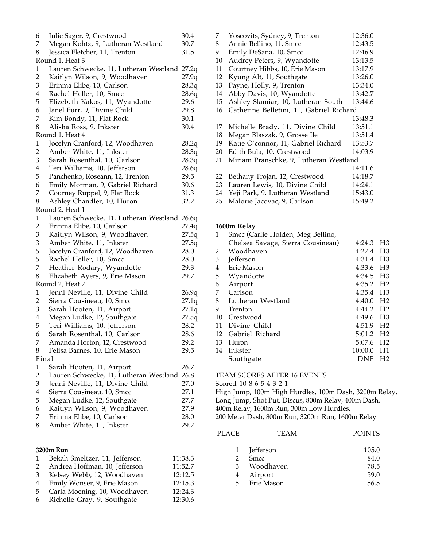| 6                       | Julie Sager, 9, Crestwood                    | 30.4  |
|-------------------------|----------------------------------------------|-------|
| 7                       | Megan Kohtz, 9, Lutheran Westland            | 30.7  |
| 8                       | Jessica Fletcher, 11, Trenton                | 31.5  |
|                         | Round 1, Heat 3                              |       |
| 1                       | Lauren Schwecke, 11, Lutheran Westland 27.2q |       |
| $\overline{c}$          | Kaitlyn Wilson, 9, Woodhaven                 | 27.9q |
| 3                       | Erinma Elibe, 10, Carlson                    | 28.3q |
| $\overline{4}$          | Rachel Heller, 10, Smcc                      | 28.6q |
| 5                       | Elizebeth Kakos, 11, Wyandotte               | 29.6  |
| 6                       | Janel Furr, 9, Divine Child                  | 29.8  |
| 7                       | Kim Bondy, 11, Flat Rock                     | 30.1  |
| 8                       | Alisha Ross, 9, Inkster                      | 30.4  |
|                         | Round 1, Heat 4                              |       |
| 1                       | Jocelyn Cranford, 12, Woodhaven              | 28.2q |
| $\overline{c}$          | Amber White, 11, Inkster                     | 28.3q |
| 3                       | Sarah Rosenthal, 10, Carlson                 | 28.3q |
| $\overline{\mathbf{4}}$ | Teri Williams, 10, Jefferson                 | 28.6q |
| 5                       | Panchenko, Roseann, 12, Trenton              | 29.5  |
| 6                       | Emily Morman, 9, Gabriel Richard             | 30.6  |
| 7                       | Courney Ruppel, 9, Flat Rock                 | 31.3  |
| 8                       | Ashley Chandler, 10, Huron                   | 32.2  |
|                         | Round 2, Heat 1                              |       |
| 1                       | Lauren Schwecke, 11, Lutheran Westland 26.6q |       |
| $\overline{c}$          | Erinma Elibe, 10, Carlson                    | 27.4q |
| 3                       | Kaitlyn Wilson, 9, Woodhaven                 | 27.5q |
| 3                       | Amber White, 11, Inkster                     | 27.5q |
| 5                       | Jocelyn Cranford, 12, Woodhaven              | 28.0  |
| 5                       | Rachel Heller, 10, Smcc                      | 28.0  |
| 7                       | Heather Rodary, Wyandotte                    | 29.3  |
| 8                       | Elizabeth Ayers, 9, Erie Mason               | 29.7  |
|                         | Round 2, Heat 2                              |       |
| 1                       | Jenni Neville, 11, Divine Child              | 26.9q |
| $\overline{c}$          | Sierra Cousineau, 10, Smcc                   | 27.1q |
| 3                       | Sarah Hooten, 11, Airport                    | 27.1q |
| $\overline{\mathbf{4}}$ | Megan Ludke, 12, Southgate                   | 27.5q |
| 5                       | Teri Williams, 10, Jefferson                 | 28.2  |
| 6                       | Sarah Rosenthal, 10, Carlson                 | 28.6  |
| 7                       | Amanda Horton, 12, Crestwood                 | 29.2  |
| 8                       | Felisa Barnes, 10, Erie Mason                | 29.5  |
| Final                   |                                              |       |
| $\mathbf{1}$            | Sarah Hooten, 11, Airport                    | 26.7  |
| $\overline{c}$          | Lauren Schwecke, 11, Lutheran Westland 26.8  |       |
| 3                       | Jenni Neville, 11, Divine Child              | 27.0  |
| $\bf 4$                 | Sierra Cousineau, 10, Smcc                   | 27.1  |
| 5                       | Megan Ludke, 12, Southgate                   | 27.7  |
| 6                       | Kaitlyn Wilson, 9, Woodhaven                 | 27.9  |
| 7                       | Erinma Elibe, 10, Carlson                    | 28.0  |
| 8                       | Amber White, 11, Inkster                     | 29.2  |
|                         |                                              |       |
|                         |                                              |       |
|                         | 3200m Run                                    |       |

| $1 \quad$ | Bekah Smeltzer, 11, Jefferson  | 11:38.3 |
|-----------|--------------------------------|---------|
| 2         | Andrea Hoffman, 10, Jefferson  | 11:52.7 |
|           | 3 Kelsey Webb, 12, Woodhaven   | 12:12.5 |
| 4         | Emily Wonser, 9, Erie Mason    | 12:15.3 |
|           | 5 Carla Moening, 10, Woodhaven | 12:24.3 |
|           | 6 Richelle Gray, 9, Southgate  | 12:30.6 |
|           |                                |         |

| 7  | Yoscovits, Sydney, 9, Trenton            | 12:36.0 |
|----|------------------------------------------|---------|
| 8  | Annie Bellino, 11, Smcc                  | 12:43.5 |
| 9  | Emily DeSana, 10, Smcc                   | 12:46.9 |
| 10 | Audrey Peters, 9, Wyandotte              | 13:13.5 |
| 11 | Courtney Hibbs, 10, Erie Mason           | 13:17.9 |
| 12 | Kyung Alt, 11, Southgate                 | 13:26.0 |
| 13 | Payne, Holly, 9, Trenton                 | 13:34.0 |
| 14 | Abby Davis, 10, Wyandotte                | 13:42.7 |
| 15 | Ashley Slamiar, 10, Lutheran South       | 13:44.6 |
| 16 | Catherine Belletini, 11, Gabriel Richard |         |
|    |                                          | 13:48.3 |
| 17 | Michelle Brady, 11, Divine Child         | 13:51.1 |
| 18 | Megan Blaszak, 9, Grosse Ile             | 13:51.4 |
| 19 | Katie O'connor, 11, Gabriel Richard      | 13:53.7 |
| 20 | Edith Bula, 10, Crestwood                | 14:03.9 |
| 21 | Miriam Pranschke, 9, Lutheran Westland   |         |
|    |                                          | 14:11.6 |
| 22 | Bethany Trojan, 12, Crestwood            | 14:18.7 |
| 23 | Lauren Lewis, 10, Divine Child           | 14:24.1 |
| 24 | Yeji Park, 9, Lutheran Westland          | 15:43.0 |
| 25 | Malorie Jacovac, 9, Carlson              | 15:49.2 |

### **1600m Relay**

| 1  | Smcc (Carlie Holden, Meg Bellino, |                       |                |
|----|-----------------------------------|-----------------------|----------------|
|    | Chelsea Savage, Sierra Cousineau) | 4:24.3                | H <sub>3</sub> |
| 2  | Woodhaven                         | 4:27.4 H3             |                |
| 3  | <b>Jefferson</b>                  | 4:31.4 H3             |                |
| 4  | Erie Mason                        | 4:33.6 H3             |                |
| 5  | Wyandotte                         | 4:34.5 H3             |                |
| 6  | Airport                           | 4:35.2 H <sub>2</sub> |                |
| 7  | Carlson                           | 4:35.4 H3             |                |
| 8  | Lutheran Westland                 | 4:40.0 H <sub>2</sub> |                |
| 9  | Trenton                           | 4:44.2 H <sub>2</sub> |                |
| 10 | Crestwood                         | 4:49.6 H3             |                |
| 11 | Divine Child                      | 4:51.9                | H <sub>2</sub> |
| 12 | Gabriel Richard                   | 5:01.2                | H <sub>2</sub> |
| 13 | Huron                             | 5:07.6 H2             |                |
| 14 | Inkster                           | 10:00.0               | H1             |
|    | Southgate                         | DNF                   | H <sub>2</sub> |

TEAM SCORES AFTER 16 EVENTS

Scored 10-8-6-5-4-3-2-1

High Jump, 100m High Hurdles, 100m Dash, 3200m Relay, Long Jump, Shot Put, Discus, 800m Relay, 400m Dash, 400m Relay, 1600m Run, 300m Low Hurdles, Meter Dash, 800m Run, 3200m Run, 1600m Relay

| PLACE        | TEAM        | <b>POINTS</b> |
|--------------|-------------|---------------|
| $\mathbf{1}$ | Jefferson   | 105.0         |
| 2            | <b>Smcc</b> | 84.0          |
| 3            | Woodhaven   | 78.5          |
| 4            | Airport     | 59.0          |
| 5            | Erie Mason  | 56.5          |